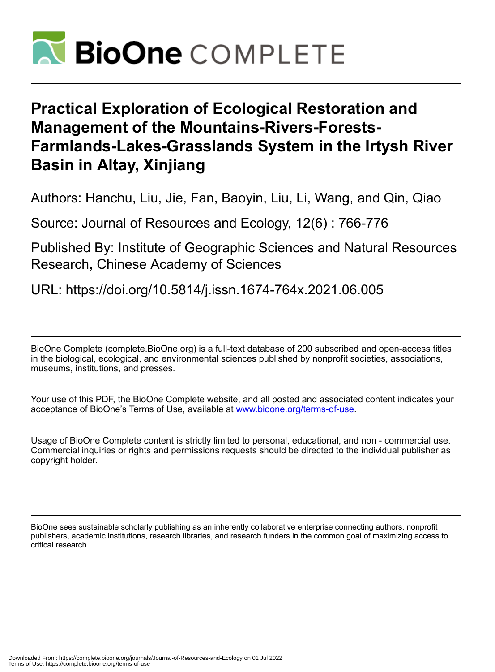

# **Practical Exploration of Ecological Restoration and Management of the Mountains-Rivers-Forests-Farmlands-Lakes-Grasslands System in the Irtysh River Basin in Altay, Xinjiang**

Authors: Hanchu, Liu, Jie, Fan, Baoyin, Liu, Li, Wang, and Qin, Qiao

Source: Journal of Resources and Ecology, 12(6) : 766-776

Published By: Institute of Geographic Sciences and Natural Resources Research, Chinese Academy of Sciences

URL: https://doi.org/10.5814/j.issn.1674-764x.2021.06.005

BioOne Complete (complete.BioOne.org) is a full-text database of 200 subscribed and open-access titles in the biological, ecological, and environmental sciences published by nonprofit societies, associations, museums, institutions, and presses.

Your use of this PDF, the BioOne Complete website, and all posted and associated content indicates your acceptance of BioOne's Terms of Use, available at www.bioone.org/terms-of-use.

Usage of BioOne Complete content is strictly limited to personal, educational, and non - commercial use. Commercial inquiries or rights and permissions requests should be directed to the individual publisher as copyright holder.

BioOne sees sustainable scholarly publishing as an inherently collaborative enterprise connecting authors, nonprofit publishers, academic institutions, research libraries, and research funders in the common goal of maximizing access to critical research.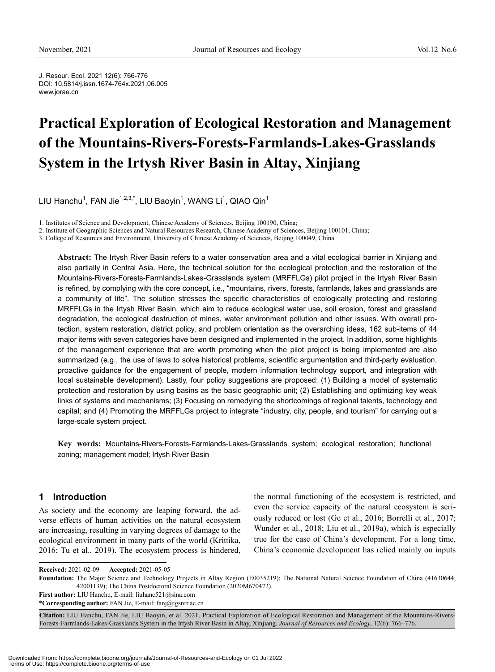J. Resour. Ecol. 2021 12(6): 766-776 DOI: 10.5814/j.issn.1674-764x.2021.06.005 www.jorae.cn

# **Practical Exploration of Ecological Restoration and Management of the Mountains-Rivers-Forests-Farmlands-Lakes-Grasslands System in the Irtysh River Basin in Altay, Xinjiang**

LIU Hanchu $^1$ , FAN Jie $^{1,2,3,\ast}$ , LIU Baoyin $^1$ , WANG Li $^1$ , QIAO Qin $^1$ 

1. Institutes of Science and Development, Chinese Academy of Sciences, Beijing 100190, China;

2. Institute of Geographic Sciences and Natural Resources Research, Chinese Academy of Sciences, Beijing 100101, China;

3. College of Resources and Environment, University of Chinese Academy of Sciences, Beijing 100049, China

**Abstract:** The Irtysh River Basin refers to a water conservation area and a vital ecological barrier in Xinjiang and also partially in Central Asia. Here, the technical solution for the ecological protection and the restoration of the Mountains-Rivers-Forests-Farmlands-Lakes-Grasslands system (MRFFLGs) pilot project in the Irtysh River Basin is refined, by complying with the core concept, i.e., "mountains, rivers, forests, farmlands, lakes and grasslands are a community of life". The solution stresses the specific characteristics of ecologically protecting and restoring MRFFLGs in the Irtysh River Basin, which aim to reduce ecological water use, soil erosion, forest and grassland degradation, the ecological destruction of mines, water environment pollution and other issues. With overall protection, system restoration, district policy, and problem orientation as the overarching ideas, 162 sub-items of 44 major items with seven categories have been designed and implemented in the project. In addition, some highlights of the management experience that are worth promoting when the pilot project is being implemented are also summarized (e.g., the use of laws to solve historical problems, scientific argumentation and third-party evaluation, proactive guidance for the engagement of people, modern information technology support, and integration with local sustainable development). Lastly, four policy suggestions are proposed: (1) Building a model of systematic protection and restoration by using basins as the basic geographic unit; (2) Establishing and optimizing key weak links of systems and mechanisms; (3) Focusing on remedying the shortcomings of regional talents, technology and capital; and (4) Promoting the MRFFLGs project to integrate "industry, city, people, and tourism" for carrying out a large-scale system project.

**Key words:** Mountains-Rivers-Forests-Farmlands-Lakes-Grasslands system; ecological restoration; functional zoning; management model; Irtysh River Basin

#### **1 Introduction**

 $\overline{a}$ 

As society and the economy are leaping forward, the adverse effects of human activities on the natural ecosystem are increasing, resulting in varying degrees of damage to the ecological environment in many parts of the world (Krittika, 2016; Tu et al., 2019). The ecosystem process is hindered,

the normal functioning of the ecosystem is restricted, and even the service capacity of the natural ecosystem is seriously reduced or lost (Ge et al., 2016; Borrelli et al., 2017; Wunder et al., 2018; Liu et al., 2019a), which is especially true for the case of China's development. For a long time, China's economic development has relied mainly on inputs

**Received:** 2021-02-09 **Accepted:** 2021-05-05

**Foundation:** The Major Science and Technology Projects in Altay Region (E0035219); The National Natural Science Foundation of China (41630644; 42001139); The China Postdoctoral Science Foundation (2020M670472).

**First author:** LIU Hanchu, E-mail: liuhanc521@sina.com \***Corresponding author:** FAN Jie, E-mail: fanj@igsnrr.ac.cn

**Citation:** LIU Hanchu, FAN Jie, LIU Baoyin, et al. 2021. Practical Exploration of Ecological Restoration and Management of the Mountains-Rivers-Forests-Farmlands-Lakes-Grasslands System in the Irtysh River Basin in Altay, Xinjiang. *Journal of Resources and Ecology*, 12(6): 766–776.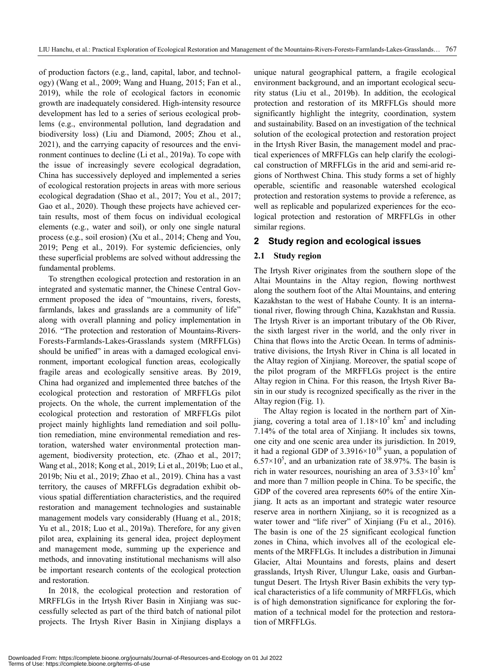of production factors (e.g., land, capital, labor, and technology) (Wang et al., 2009; Wang and Huang, 2015; Fan et al., 2019), while the role of ecological factors in economic growth are inadequately considered. High-intensity resource development has led to a series of serious ecological problems (e.g., environmental pollution, land degradation and biodiversity loss) (Liu and Diamond, 2005; Zhou et al., 2021), and the carrying capacity of resources and the environment continues to decline (Li et al., 2019a). To cope with the issue of increasingly severe ecological degradation, China has successively deployed and implemented a series of ecological restoration projects in areas with more serious ecological degradation (Shao et al., 2017; You et al., 2017; Gao et al., 2020). Though these projects have achieved certain results, most of them focus on individual ecological elements (e.g., water and soil), or only one single natural process (e.g., soil erosion) (Xu et al., 2014; Cheng and You, 2019; Peng et al., 2019). For systemic deficiencies, only these superficial problems are solved without addressing the fundamental problems.

To strengthen ecological protection and restoration in an integrated and systematic manner, the Chinese Central Government proposed the idea of "mountains, rivers, forests, farmlands, lakes and grasslands are a community of life" along with overall planning and policy implementation in 2016. "The protection and restoration of Mountains-Rivers-Forests-Farmlands-Lakes-Grasslands system (MRFFLGs) should be unified" in areas with a damaged ecological environment, important ecological function areas, ecologically fragile areas and ecologically sensitive areas. By 2019, China had organized and implemented three batches of the ecological protection and restoration of MRFFLGs pilot projects. On the whole, the current implementation of the ecological protection and restoration of MRFFLGs pilot project mainly highlights land remediation and soil pollution remediation, mine environmental remediation and restoration, watershed water environmental protection management, biodiversity protection, etc. (Zhao et al., 2017; Wang et al., 2018; Kong et al., 2019; Li et al., 2019b; Luo et al., 2019b; Niu et al., 2019; Zhao et al., 2019). China has a vast territory, the causes of MRFFLGs degradation exhibit obvious spatial differentiation characteristics, and the required restoration and management technologies and sustainable management models vary considerably (Huang et al., 2018; Yu et al., 2018; Luo et al., 2019a). Therefore, for any given pilot area, explaining its general idea, project deployment and management mode, summing up the experience and methods, and innovating institutional mechanisms will also be important research contents of the ecological protection and restoration.

In 2018, the ecological protection and restoration of MRFFLGs in the Irtysh River Basin in Xinjiang was successfully selected as part of the third batch of national pilot projects. The Irtysh River Basin in Xinjiang displays a

unique natural geographical pattern, a fragile ecological environment background, and an important ecological security status (Liu et al., 2019b). In addition, the ecological protection and restoration of its MRFFLGs should more significantly highlight the integrity, coordination, system and sustainability. Based on an investigation of the technical solution of the ecological protection and restoration project in the Irtysh River Basin, the management model and practical experiences of MRFFLGs can help clarify the ecological construction of MRFFLGs in the arid and semi-arid regions of Northwest China. This study forms a set of highly operable, scientific and reasonable watershed ecological protection and restoration systems to provide a reference, as well as replicable and popularized experiences for the ecological protection and restoration of MRFFLGs in other similar regions.

#### **2 Study region and ecological issues**

#### **2.1 Study region**

The Irtysh River originates from the southern slope of the Altai Mountains in the Altay region, flowing northwest along the southern foot of the Altai Mountains, and entering Kazakhstan to the west of Habahe County. It is an international river, flowing through China, Kazakhstan and Russia. The Irtysh River is an important tributary of the Ob River, the sixth largest river in the world, and the only river in China that flows into the Arctic Ocean. In terms of administrative divisions, the Irtysh River in China is all located in the Altay region of Xinjiang. Moreover, the spatial scope of the pilot program of the MRFFLGs project is the entire Altay region in China. For this reason, the Irtysh River Basin in our study is recognized specifically as the river in the Altay region (Fig. 1).

The Altay region is located in the northern part of Xinijang, covering a total area of  $1.18 \times 10^5$  km<sup>2</sup> and including 7.14% of the total area of Xinjiang. It includes six towns, one city and one scenic area under its jurisdiction. In 2019, it had a regional GDP of  $3.3916 \times 10^{10}$  yuan, a population of  $6.57 \times 10^5$ , and an urbanization rate of 38.97%. The basin is rich in water resources, nourishing an area of  $3.53 \times 10^5$  km<sup>2</sup> and more than 7 million people in China. To be specific, the GDP of the covered area represents 60% of the entire Xinjiang. It acts as an important and strategic water resource reserve area in northern Xinjiang, so it is recognized as a water tower and "life river" of Xinjiang (Fu et al., 2016). The basin is one of the 25 significant ecological function zones in China, which involves all of the ecological elements of the MRFFLGs. It includes a distribution in Jimunai Glacier, Altai Mountains and forests, plains and desert grasslands, Irtysh River, Ulungur Lake, oasis and Gurbantungut Desert. The Irtysh River Basin exhibits the very typical characteristics of a life community of MRFFLGs, which is of high demonstration significance for exploring the formation of a technical model for the protection and restoration of MRFFLGs.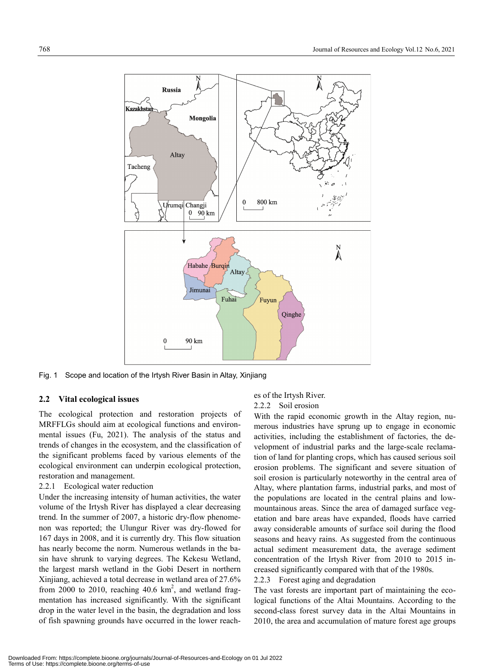

Fig. 1 Scope and location of the Irtysh River Basin in Altay, Xinjiang

## **2.2 Vital ecological issues**

The ecological protection and restoration projects of MRFFLGs should aim at ecological functions and environmental issues (Fu, 2021). The analysis of the status and trends of changes in the ecosystem, and the classification of the significant problems faced by various elements of the ecological environment can underpin ecological protection, restoration and management.

## 2.2.1 Ecological water reduction

Under the increasing intensity of human activities, the water volume of the Irtysh River has displayed a clear decreasing trend. In the summer of 2007, a historic dry-flow phenomenon was reported; the Ulungur River was dry-flowed for 167 days in 2008, and it is currently dry. This flow situation has nearly become the norm. Numerous wetlands in the basin have shrunk to varying degrees. The Kekesu Wetland, the largest marsh wetland in the Gobi Desert in northern Xinjiang, achieved a total decrease in wetland area of 27.6% from 2000 to 2010, reaching  $40.6 \text{ km}^2$ , and wetland fragmentation has increased significantly. With the significant drop in the water level in the basin, the degradation and loss of fish spawning grounds have occurred in the lower reach-

# es of the Irtysh River. 2.2.2 Soil erosion

With the rapid economic growth in the Altay region, numerous industries have sprung up to engage in economic activities, including the establishment of factories, the development of industrial parks and the large-scale reclamation of land for planting crops, which has caused serious soil erosion problems. The significant and severe situation of soil erosion is particularly noteworthy in the central area of Altay, where plantation farms, industrial parks, and most of the populations are located in the central plains and lowmountainous areas. Since the area of damaged surface vegetation and bare areas have expanded, floods have carried away considerable amounts of surface soil during the flood seasons and heavy rains. As suggested from the continuous actual sediment measurement data, the average sediment concentration of the Irtysh River from 2010 to 2015 increased significantly compared with that of the 1980s.

### 2.2.3 Forest aging and degradation

The vast forests are important part of maintaining the ecological functions of the Altai Mountains. According to the second-class forest survey data in the Altai Mountains in 2010, the area and accumulation of mature forest age groups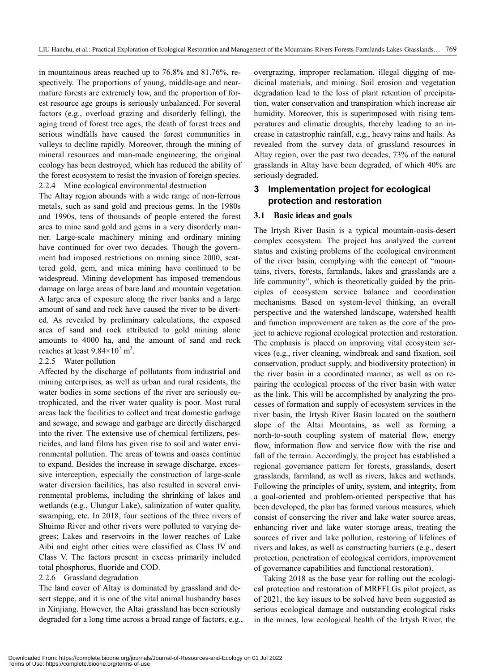in mountainous areas reached up to 76.8% and 81.76%, respectively. The proportions of young, middle-age and nearmature forests are extremely low, and the proportion of forest resource age groups is seriously unbalanced. For several factors (e.g., overload grazing and disorderly felling), the aging trend of forest tree ages, the death of forest trees and serious windfalls have caused the forest communities in valleys to decline rapidly. Moreover, through the mining of mineral resources and man-made engineering, the original ecology has been destroyed, which has reduced the ability of the forest ecosystem to resist the invasion of foreign species. 2.2.4 Mine ecological environmental destruction

The Altay region abounds with a wide range of non-ferrous metals, such as sand gold and precious gems. In the 1980s and 1990s, tens of thousands of people entered the forest area to mine sand gold and gems in a very disorderly manner. Large-scale machinery mining and ordinary mining have continued for over two decades. Though the government had imposed restrictions on mining since 2000, scattered gold, gem, and mica mining have continued to be widespread. Mining development has imposed tremendous damage on large areas of bare land and mountain vegetation. A large area of exposure along the river banks and a large amount of sand and rock have caused the river to be diverted. As revealed by preliminary calculations, the exposed area of sand and rock attributed to gold mining alone amounts to 4000 ha, and the amount of sand and rock reaches at least  $9.84 \times 10^7$  m<sup>3</sup>.

#### 2.2.5 Water pollution

Affected by the discharge of pollutants from industrial and mining enterprises, as well as urban and rural residents, the water bodies in some sections of the river are seriously eutrophicated, and the river water quality is poor. Most rural areas lack the facilities to collect and treat domestic garbage and sewage, and sewage and garbage are directly discharged into the river. The extensive use of chemical fertilizers, pesticides, and land films has given rise to soil and water environmental pollution. The areas of towns and oases continue to expand. Besides the increase in sewage discharge, excessive interception, especially the construction of large-scale water diversion facilities, has also resulted in several environmental problems, including the shrinking of lakes and wetlands (e.g., Ulungur Lake), salinization of water quality, swamping, etc. In 2018, four sections of the three rivers of Shuimo River and other rivers were polluted to varying degrees; Lakes and reservoirs in the lower reaches of Lake Aibi and eight other cities were classified as Class IV and Class V. The factors present in excess primarily included total phosphorus, fluoride and COD.

#### 2.2.6 Grassland degradation

The land cover of Altay is dominated by grassland and desert steppe, and it is one of the vital animal husbandry bases in Xinjiang. However, the Altai grassland has been seriously degraded for a long time across a broad range of factors, e.g., overgrazing, improper reclamation, illegal digging of medicinal materials, and mining. Soil erosion and vegetation degradation lead to the loss of plant retention of precipitation, water conservation and transpiration which increase air humidity. Moreover, this is superimposed with rising temperatures and climatic droughts, thereby leading to an increase in catastrophic rainfall, e.g., heavy rains and hails. As revealed from the survey data of grassland resources in Altay region, over the past two decades, 73% of the natural grasslands in Altay have been degraded, of which 40% are seriously degraded.

## **3 Implementation project for ecological protection and restoration**

#### **3.1 Basic ideas and goals**

The Irtysh River Basin is a typical mountain-oasis-desert complex ecosystem. The project has analyzed the current status and existing problems of the ecological environment of the river basin, complying with the concept of "mountains, rivers, forests, farmlands, lakes and grasslands are a life community", which is theoretically guided by the principles of ecosystem service balance and coordination mechanisms. Based on system-level thinking, an overall perspective and the watershed landscape, watershed health and function improvement are taken as the core of the project to achieve regional ecological protection and restoration. The emphasis is placed on improving vital ecosystem services (e.g., river cleaning, windbreak and sand fixation, soil conservation, product supply, and biodiversity protection) in the river basin in a coordinated manner, as well as on repairing the ecological process of the river basin with water as the link. This will be accomplished by analyzing the processes of formation and supply of ecosystem services in the river basin, the Irtysh River Basin located on the southern slope of the Altai Mountains, as well as forming a north-to-south coupling system of material flow, energy flow, information flow and service flow with the rise and fall of the terrain. Accordingly, the project has established a regional governance pattern for forests, grasslands, desert grasslands, farmland, as well as rivers, lakes and wetlands. Following the principles of unity, system, and integrity, from a goal-oriented and problem-oriented perspective that has been developed, the plan has formed various measures, which consist of conserving the river and lake water source areas, enhancing river and lake water storage areas, treating the sources of river and lake pollution, restoring of lifelines of rivers and lakes, as well as constructing barriers (e.g., desert protection, penetration of ecological corridors, improvement of governance capabilities and functional restoration).

Taking 2018 as the base year for rolling out the ecological protection and restoration of MRFFLGs pilot project, as of 2021, the key issues to be solved have been suggested as serious ecological damage and outstanding ecological risks in the mines, low ecological health of the Irtysh River, the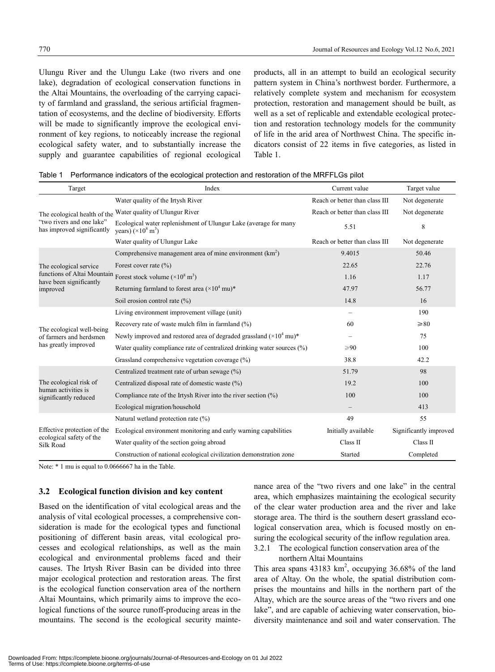Ulungu River and the Ulungu Lake (two rivers and one lake), degradation of ecological conservation functions in the Altai Mountains, the overloading of the carrying capacity of farmland and grassland, the serious artificial fragmentation of ecosystems, and the decline of biodiversity. Efforts will be made to significantly improve the ecological environment of key regions, to noticeably increase the regional ecological safety water, and to substantially increase the supply and guarantee capabilities of regional ecological products, all in an attempt to build an ecological security pattern system in China's northwest border. Furthermore, a relatively complete system and mechanism for ecosystem protection, restoration and management should be built, as well as a set of replicable and extendable ecological protection and restoration technology models for the community of life in the arid area of Northwest China. The specific indicators consist of 22 items in five categories, as listed in Table 1.

| Table 1 Performance indicators of the ecological protection and restoration of the MRFFLGs pilot |  |  |
|--------------------------------------------------------------------------------------------------|--|--|
|                                                                                                  |  |  |

| Target                                                  | Index                                                                                                  | Current value                  | Target value           |
|---------------------------------------------------------|--------------------------------------------------------------------------------------------------------|--------------------------------|------------------------|
|                                                         | Water quality of the Irtysh River                                                                      | Reach or better than class III | Not degenerate         |
| The ecological health of the                            | Water quality of Ulungur River                                                                         | Reach or better than class III | Not degenerate         |
| "two rivers and one lake"<br>has improved significantly | Ecological water replenishment of Ulungur Lake (average for many<br>years) $(\times 10^8 \text{ m}^3)$ | 5.51                           | 8                      |
|                                                         | Water quality of Ulungur Lake                                                                          | Reach or better than class III | Not degenerate         |
|                                                         | Comprehensive management area of mine environment $(km2)$                                              | 9.4015                         | 50.46                  |
| The ecological service                                  | Forest cover rate $(\% )$                                                                              | 22.65                          | 22.76                  |
| have been significantly                                 | functions of Altai Mountain Forest stock volume $(\times 10^8 \text{ m}^3)$                            | 1.16                           | 1.17                   |
| improved                                                | Returning farmland to forest area $(\times 10^4 \text{ mu})^*$                                         | 47.97                          | 56.77                  |
|                                                         | Soil erosion control rate $(\%)$                                                                       | 14.8                           | 16                     |
|                                                         | Living environment improvement village (unit)                                                          |                                | 190                    |
| The ecological well-being                               | Recovery rate of waste mulch film in farmland (%)                                                      | 60                             | $\geq 80$              |
| of farmers and herdsmen                                 | Newly improved and restored area of degraded grassland $(\times 10^4 \text{ mu})^*$                    |                                | 75                     |
| has greatly improved                                    | Water quality compliance rate of centralized drinking water sources (%)                                | $\geqslant 90$                 | 100                    |
|                                                         | Grassland comprehensive vegetation coverage $(\%)$                                                     | 38.8                           | 42.2                   |
|                                                         | Centralized treatment rate of urban sewage (%)                                                         | 51.79                          | 98                     |
| The ecological risk of                                  | Centralized disposal rate of domestic waste (%)                                                        | 19.2                           | 100                    |
| human activities is<br>significantly reduced            | Compliance rate of the Irtysh River into the river section $(\%)$                                      | 100                            | 100                    |
|                                                         | Ecological migration/household                                                                         |                                | 413                    |
|                                                         | Natural wetland protection rate $(\%)$                                                                 | 49                             | 55                     |
| Effective protection of the                             | Ecological environment monitoring and early warning capabilities                                       | Initially available            | Significantly improved |
| ecological safety of the<br>Silk Road                   | Water quality of the section going abroad                                                              | Class II                       | Class II               |
|                                                         | Construction of national ecological civilization demonstration zone                                    | Started                        | Completed              |

Note:  $*$  1 mu is equal to 0.0666667 ha in the Table.

#### **3.2 Ecological function division and key content**

Based on the identification of vital ecological areas and the analysis of vital ecological processes, a comprehensive consideration is made for the ecological types and functional positioning of different basin areas, vital ecological processes and ecological relationships, as well as the main ecological and environmental problems faced and their causes. The Irtysh River Basin can be divided into three major ecological protection and restoration areas. The first is the ecological function conservation area of the northern Altai Mountains, which primarily aims to improve the ecological functions of the source runoff-producing areas in the mountains. The second is the ecological security maintenance area of the "two rivers and one lake" in the central area, which emphasizes maintaining the ecological security of the clear water production area and the river and lake storage area. The third is the southern desert grassland ecological conservation area, which is focused mostly on ensuring the ecological security of the inflow regulation area.

3.2.1 The ecological function conservation area of the northern Altai Mountains

This area spans  $43183 \text{ km}^2$ , occupying  $36.68\%$  of the land area of Altay. On the whole, the spatial distribution comprises the mountains and hills in the northern part of the Altay, which are the source areas of the "two rivers and one lake", and are capable of achieving water conservation, biodiversity maintenance and soil and water conservation. The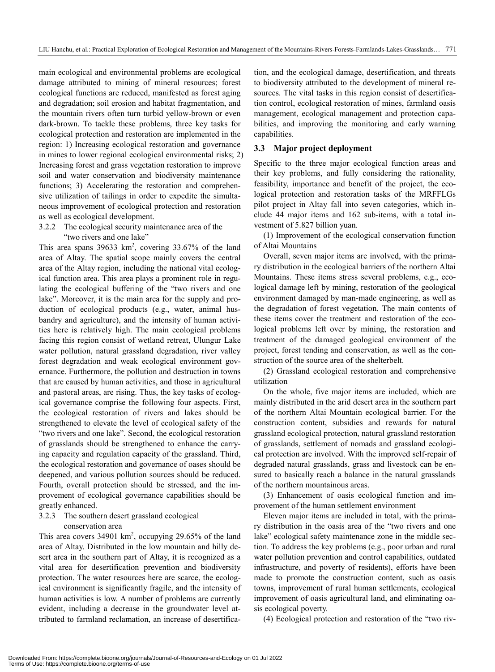main ecological and environmental problems are ecological damage attributed to mining of mineral resources; forest ecological functions are reduced, manifested as forest aging and degradation; soil erosion and habitat fragmentation, and the mountain rivers often turn turbid yellow-brown or even dark-brown. To tackle these problems, three key tasks for ecological protection and restoration are implemented in the region: 1) Increasing ecological restoration and governance in mines to lower regional ecological environmental risks; 2) Increasing forest and grass vegetation restoration to improve soil and water conservation and biodiversity maintenance functions; 3) Accelerating the restoration and comprehensive utilization of tailings in order to expedite the simultaneous improvement of ecological protection and restoration as well as ecological development.

#### 3.2.2 The ecological security maintenance area of the "two rivers and one lake"

This area spans  $39633 \text{ km}^2$ , covering  $33.67\%$  of the land area of Altay. The spatial scope mainly covers the central area of the Altay region, including the national vital ecological function area. This area plays a prominent role in regulating the ecological buffering of the "two rivers and one lake". Moreover, it is the main area for the supply and production of ecological products (e.g., water, animal husbandry and agriculture), and the intensity of human activities here is relatively high. The main ecological problems facing this region consist of wetland retreat, Ulungur Lake water pollution, natural grassland degradation, river valley forest degradation and weak ecological environment governance. Furthermore, the pollution and destruction in towns that are caused by human activities, and those in agricultural and pastoral areas, are rising. Thus, the key tasks of ecological governance comprise the following four aspects. First, the ecological restoration of rivers and lakes should be strengthened to elevate the level of ecological safety of the "two rivers and one lake". Second, the ecological restoration of grasslands should be strengthened to enhance the carrying capacity and regulation capacity of the grassland. Third, the ecological restoration and governance of oases should be deepened, and various pollution sources should be reduced. Fourth, overall protection should be stressed, and the improvement of ecological governance capabilities should be greatly enhanced.

## 3.2.3 The southern desert grassland ecological conservation area

This area covers  $34901 \text{ km}^2$ , occupying  $29.65\%$  of the land area of Altay. Distributed in the low mountain and hilly desert area in the southern part of Altay, it is recognized as a vital area for desertification prevention and biodiversity protection. The water resources here are scarce, the ecological environment is significantly fragile, and the intensity of human activities is low. A number of problems are currently evident, including a decrease in the groundwater level attributed to farmland reclamation, an increase of desertification, and the ecological damage, desertification, and threats to biodiversity attributed to the development of mineral resources. The vital tasks in this region consist of desertification control, ecological restoration of mines, farmland oasis management, ecological management and protection capabilities, and improving the monitoring and early warning capabilities.

## **3.3 Major project deployment**

Specific to the three major ecological function areas and their key problems, and fully considering the rationality, feasibility, importance and benefit of the project, the ecological protection and restoration tasks of the MRFFLGs pilot project in Altay fall into seven categories, which include 44 major items and 162 sub-items, with a total investment of 5.827 billion yuan.

(1) Improvement of the ecological conservation function of Altai Mountains

Overall, seven major items are involved, with the primary distribution in the ecological barriers of the northern Altai Mountains. These items stress several problems, e.g., ecological damage left by mining, restoration of the geological environment damaged by man-made engineering, as well as the degradation of forest vegetation. The main contents of these items cover the treatment and restoration of the ecological problems left over by mining, the restoration and treatment of the damaged geological environment of the project, forest tending and conservation, as well as the construction of the source area of the shelterbelt.

(2) Grassland ecological restoration and comprehensive utilization

On the whole, five major items are included, which are mainly distributed in the arid desert area in the southern part of the northern Altai Mountain ecological barrier. For the construction content, subsidies and rewards for natural grassland ecological protection, natural grassland restoration of grasslands, settlement of nomads and grassland ecological protection are involved. With the improved self-repair of degraded natural grasslands, grass and livestock can be ensured to basically reach a balance in the natural grasslands of the northern mountainous areas.

(3) Enhancement of oasis ecological function and improvement of the human settlement environment

Eleven major items are included in total, with the primary distribution in the oasis area of the "two rivers and one lake" ecological safety maintenance zone in the middle section. To address the key problems (e.g., poor urban and rural water pollution prevention and control capabilities, outdated infrastructure, and poverty of residents), efforts have been made to promote the construction content, such as oasis towns, improvement of rural human settlements, ecological improvement of oasis agricultural land, and eliminating oasis ecological poverty.

(4) Ecological protection and restoration of the "two riv-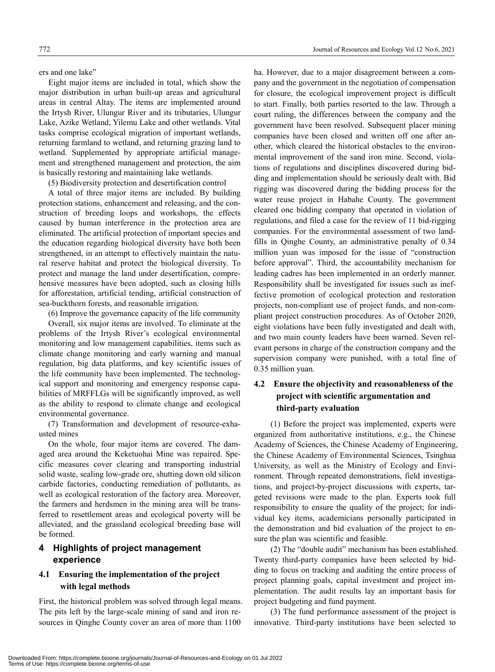ers and one lake"

Eight major items are included in total, which show the major distribution in urban built-up areas and agricultural areas in central Altay. The items are implemented around the Irtysh River, Ulungur River and its tributaries, Ulungur Lake, Azike Wetland, Yilemu Lake and other wetlands. Vital tasks comprise ecological migration of important wetlands, returning farmland to wetland, and returning grazing land to wetland. Supplemented by appropriate artificial management and strengthened management and protection, the aim is basically restoring and maintaining lake wetlands.

(5) Biodiversity protection and desertification control

A total of three major items are included. By building protection stations, enhancement and releasing, and the construction of breeding loops and workshops, the effects caused by human interference in the protection area are eliminated. The artificial protection of important species and the education regarding biological diversity have both been strengthened, in an attempt to effectively maintain the natural reserve habitat and protect the biological diversity. To protect and manage the land under desertification, comprehensive measures have been adopted, such as closing hills for afforestation, artificial tending, artificial construction of sea-buckthorn forests, and reasonable irrigation.

(6) Improve the governance capacity of the life community

Overall, six major items are involved. To eliminate at the problems of the Irtysh River's ecological environmental monitoring and low management capabilities, items such as climate change monitoring and early warning and manual regulation, big data platforms, and key scientific issues of the life community have been implemented. The technological support and monitoring and emergency response capabilities of MRFFLGs will be significantly improved, as well as the ability to respond to climate change and ecological environmental governance.

(7) Transformation and development of resource-exhausted mines

On the whole, four major items are covered. The damaged area around the Keketuohai Mine was repaired. Specific measures cover clearing and transporting industrial solid waste, sealing low-grade ore, shutting down old silicon carbide factories, conducting remediation of pollutants, as well as ecological restoration of the factory area. Moreover, the farmers and herdsmen in the mining area will be transferred to resettlement areas and ecological poverty will be alleviated, and the grassland ecological breeding base will be formed.

## **4 Highlights of project management experience**

## **4.1 Ensuring the implementation of the project with legal methods**

First, the historical problem was solved through legal means. The pits left by the large-scale mining of sand and iron resources in Qinghe County cover an area of more than 1100

ha. However, due to a major disagreement between a company and the government in the negotiation of compensation for closure, the ecological improvement project is difficult to start. Finally, both parties resorted to the law. Through a court ruling, the differences between the company and the government have been resolved. Subsequent placer mining companies have been closed and written off one after another, which cleared the historical obstacles to the environmental improvement of the sand iron mine. Second, violations of regulations and disciplines discovered during bidding and implementation should be seriously dealt with. Bid rigging was discovered during the bidding process for the water reuse project in Habahe County. The government cleared one bidding company that operated in violation of regulations, and filed a case for the review of 11 bid-rigging companies. For the environmental assessment of two landfills in Qinghe County, an administrative penalty of 0.34 million yuan was imposed for the issue of "construction before approval". Third, the accountability mechanism for leading cadres has been implemented in an orderly manner. Responsibility shall be investigated for issues such as ineffective promotion of ecological protection and restoration projects, non-compliant use of project funds, and non-compliant project construction procedures. As of October 2020, eight violations have been fully investigated and dealt with, and two main county leaders have been warned. Seven relevant persons in charge of the construction company and the supervision company were punished, with a total fine of 0.35 million yuan.

# **4.2 Ensure the objectivity and reasonableness of the project with scientific argumentation and third-party evaluation**

(1) Before the project was implemented, experts were organized from authoritative institutions, e.g., the Chinese Academy of Sciences, the Chinese Academy of Engineering, the Chinese Academy of Environmental Sciences, Tsinghua University, as well as the Ministry of Ecology and Environment. Through repeated demonstrations, field investigations, and project-by-project discussions with experts, targeted revisions were made to the plan. Experts took full responsibility to ensure the quality of the project; for individual key items, academicians personally participated in the demonstration and bid evaluation of the project to ensure the plan was scientific and feasible.

(2) The "double audit" mechanism has been established. Twenty third-party companies have been selected by bidding to focus on tracking and auditing the entire process of project planning goals, capital investment and project implementation. The audit results lay an important basis for project budgeting and fund payment.

(3) The fund performance assessment of the project is innovative. Third-party institutions have been selected to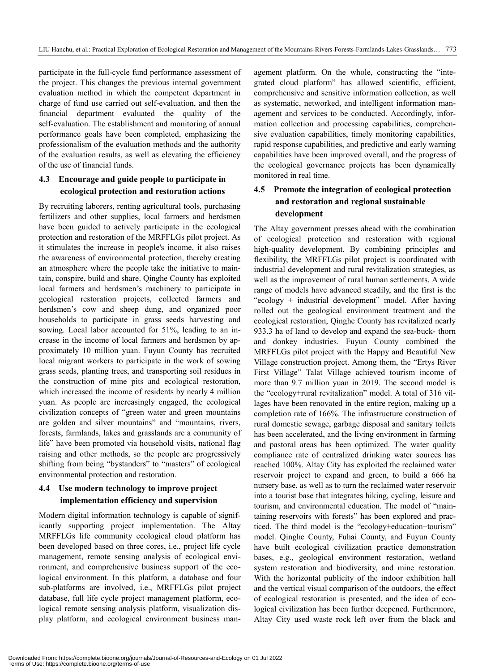participate in the full-cycle fund performance assessment of the project. This changes the previous internal government evaluation method in which the competent department in charge of fund use carried out self-evaluation, and then the financial department evaluated the quality of the self-evaluation. The establishment and monitoring of annual performance goals have been completed, emphasizing the professionalism of the evaluation methods and the authority of the evaluation results, as well as elevating the efficiency of the use of financial funds.

## **4.3 Encourage and guide people to participate in ecological protection and restoration actions**

By recruiting laborers, renting agricultural tools, purchasing fertilizers and other supplies, local farmers and herdsmen have been guided to actively participate in the ecological protection and restoration of the MRFFLGs pilot project. As it stimulates the increase in people's income, it also raises the awareness of environmental protection, thereby creating an atmosphere where the people take the initiative to maintain, conspire, build and share. Qinghe County has exploited local farmers and herdsmen's machinery to participate in geological restoration projects, collected farmers and herdsmen's cow and sheep dung, and organized poor households to participate in grass seeds harvesting and sowing. Local labor accounted for 51%, leading to an increase in the income of local farmers and herdsmen by approximately 10 million yuan. Fuyun County has recruited local migrant workers to participate in the work of sowing grass seeds, planting trees, and transporting soil residues in the construction of mine pits and ecological restoration, which increased the income of residents by nearly 4 million yuan. As people are increasingly engaged, the ecological civilization concepts of "green water and green mountains are golden and silver mountains" and "mountains, rivers, forests, farmlands, lakes and grasslands are a community of life" have been promoted via household visits, national flag raising and other methods, so the people are progressively shifting from being "bystanders" to "masters" of ecological environmental protection and restoration.

# **4.4 Use modern technology to improve project implementation efficiency and supervision**

Modern digital information technology is capable of significantly supporting project implementation. The Altay MRFFLGs life community ecological cloud platform has been developed based on three cores, i.e., project life cycle management, remote sensing analysis of ecological environment, and comprehensive business support of the ecological environment. In this platform, a database and four sub-platforms are involved, i.e., MRFFLGs pilot project database, full life cycle project management platform, ecological remote sensing analysis platform, visualization display platform, and ecological environment business management platform. On the whole, constructing the "integrated cloud platform" has allowed scientific, efficient, comprehensive and sensitive information collection, as well as systematic, networked, and intelligent information management and services to be conducted. Accordingly, information collection and processing capabilities, comprehensive evaluation capabilities, timely monitoring capabilities, rapid response capabilities, and predictive and early warning capabilities have been improved overall, and the progress of the ecological governance projects has been dynamically monitored in real time.

## **4.5 Promote the integration of ecological protection and restoration and regional sustainable development**

The Altay government presses ahead with the combination of ecological protection and restoration with regional high-quality development. By combining principles and flexibility, the MRFFLGs pilot project is coordinated with industrial development and rural revitalization strategies, as well as the improvement of rural human settlements. A wide range of models have advanced steadily, and the first is the "ecology + industrial development" model. After having rolled out the geological environment treatment and the ecological restoration, Qinghe County has revitalized nearly 933.3 ha of land to develop and expand the sea-buck- thorn and donkey industries. Fuyun County combined the MRFFLGs pilot project with the Happy and Beautiful New Village construction project. Among them, the "Ertys River First Village" Talat Village achieved tourism income of more than 9.7 million yuan in 2019. The second model is the "ecology+rural revitalization" model. A total of 316 villages have been renovated in the entire region, making up a completion rate of 166%. The infrastructure construction of rural domestic sewage, garbage disposal and sanitary toilets has been accelerated, and the living environment in farming and pastoral areas has been optimized. The water quality compliance rate of centralized drinking water sources has reached 100%. Altay City has exploited the reclaimed water reservoir project to expand and green, to build a 666 ha nursery base, as well as to turn the reclaimed water reservoir into a tourist base that integrates hiking, cycling, leisure and tourism, and environmental education. The model of "maintaining reservoirs with forests" has been explored and practiced. The third model is the "ecology+education+tourism" model. Qinghe County, Fuhai County, and Fuyun County have built ecological civilization practice demonstration bases, e.g., geological environment restoration, wetland system restoration and biodiversity, and mine restoration. With the horizontal publicity of the indoor exhibition hall and the vertical visual comparison of the outdoors, the effect of ecological restoration is presented, and the idea of ecological civilization has been further deepened. Furthermore, Altay City used waste rock left over from the black and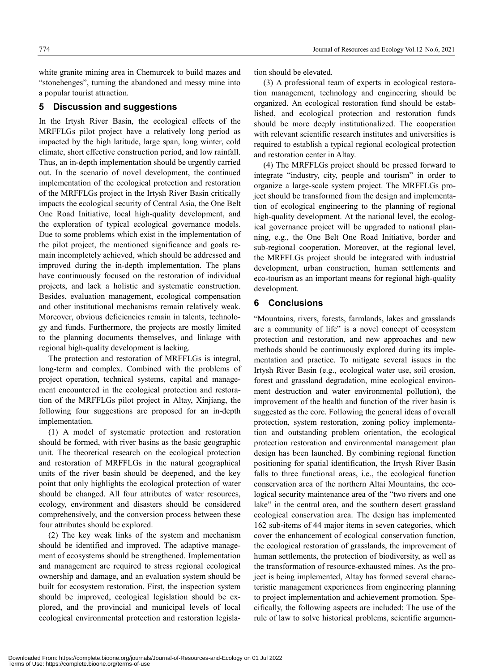white granite mining area in Chemurcek to build mazes and "stonehenges", turning the abandoned and messy mine into a popular tourist attraction.

#### **5 Discussion and suggestions**

In the Irtysh River Basin, the ecological effects of the MRFFLGs pilot project have a relatively long period as impacted by the high latitude, large span, long winter, cold climate, short effective construction period, and low rainfall. Thus, an in-depth implementation should be urgently carried out. In the scenario of novel development, the continued implementation of the ecological protection and restoration of the MRFFLGs project in the Irtysh River Basin critically impacts the ecological security of Central Asia, the One Belt One Road Initiative, local high-quality development, and the exploration of typical ecological governance models. Due to some problems which exist in the implementation of the pilot project, the mentioned significance and goals remain incompletely achieved, which should be addressed and improved during the in-depth implementation. The plans have continuously focused on the restoration of individual projects, and lack a holistic and systematic construction. Besides, evaluation management, ecological compensation and other institutional mechanisms remain relatively weak. Moreover, obvious deficiencies remain in talents, technology and funds. Furthermore, the projects are mostly limited to the planning documents themselves, and linkage with regional high-quality development is lacking.

The protection and restoration of MRFFLGs is integral, long-term and complex. Combined with the problems of project operation, technical systems, capital and management encountered in the ecological protection and restoration of the MRFFLGs pilot project in Altay, Xinjiang, the following four suggestions are proposed for an in-depth implementation.

(1) A model of systematic protection and restoration should be formed, with river basins as the basic geographic unit. The theoretical research on the ecological protection and restoration of MRFFLGs in the natural geographical units of the river basin should be deepened, and the key point that only highlights the ecological protection of water should be changed. All four attributes of water resources, ecology, environment and disasters should be considered comprehensively, and the conversion process between these four attributes should be explored.

(2) The key weak links of the system and mechanism should be identified and improved. The adaptive management of ecosystems should be strengthened. Implementation and management are required to stress regional ecological ownership and damage, and an evaluation system should be built for ecosystem restoration. First, the inspection system should be improved, ecological legislation should be explored, and the provincial and municipal levels of local ecological environmental protection and restoration legislation should be elevated.

(3) A professional team of experts in ecological restoration management, technology and engineering should be organized. An ecological restoration fund should be established, and ecological protection and restoration funds should be more deeply institutionalized. The cooperation with relevant scientific research institutes and universities is required to establish a typical regional ecological protection and restoration center in Altay.

(4) The MRFFLGs project should be pressed forward to integrate "industry, city, people and tourism" in order to organize a large-scale system project. The MRFFLGs project should be transformed from the design and implementation of ecological engineering to the planning of regional high-quality development. At the national level, the ecological governance project will be upgraded to national planning, e.g., the One Belt One Road Initiative, border and sub-regional cooperation. Moreover, at the regional level, the MRFFLGs project should be integrated with industrial development, urban construction, human settlements and eco-tourism as an important means for regional high-quality development.

## **6 Conclusions**

"Mountains, rivers, forests, farmlands, lakes and grasslands are a community of life" is a novel concept of ecosystem protection and restoration, and new approaches and new methods should be continuously explored during its implementation and practice. To mitigate several issues in the Irtysh River Basin (e.g., ecological water use, soil erosion, forest and grassland degradation, mine ecological environment destruction and water environmental pollution), the improvement of the health and function of the river basin is suggested as the core. Following the general ideas of overall protection, system restoration, zoning policy implementation and outstanding problem orientation, the ecological protection restoration and environmental management plan design has been launched. By combining regional function positioning for spatial identification, the Irtysh River Basin falls to three functional areas, i.e., the ecological function conservation area of the northern Altai Mountains, the ecological security maintenance area of the "two rivers and one lake" in the central area, and the southern desert grassland ecological conservation area. The design has implemented 162 sub-items of 44 major items in seven categories, which cover the enhancement of ecological conservation function, the ecological restoration of grasslands, the improvement of human settlements, the protection of biodiversity, as well as the transformation of resource-exhausted mines. As the project is being implemented, Altay has formed several characteristic management experiences from engineering planning to project implementation and achievement promotion. Specifically, the following aspects are included: The use of the rule of law to solve historical problems, scientific argumen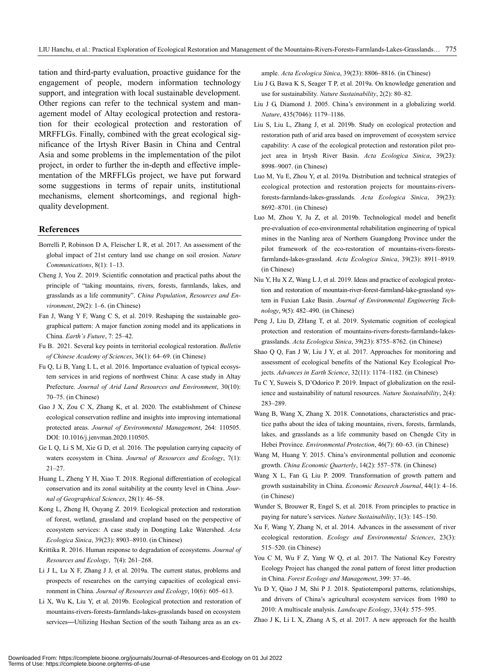tation and third-party evaluation, proactive guidance for the engagement of people, modern information technology support, and integration with local sustainable development. Other regions can refer to the technical system and management model of Altay ecological protection and restoration for their ecological protection and restoration of MRFFLGs. Finally, combined with the great ecological significance of the Irtysh River Basin in China and Central Asia and some problems in the implementation of the pilot project, in order to further the in-depth and effective implementation of the MRFFLGs project, we have put forward some suggestions in terms of repair units, institutional mechanisms, element shortcomings, and regional highquality development.

#### **References**

- Borrelli P, Robinson D A, Fleischer L R, et al. 2017. An assessment of the global impact of 21st century land use change on soil erosion. *Nature Communications*, 8(1): 1–13.
- Cheng J, You Z. 2019. Scientific connotation and practical paths about the principle of "taking mountains, rivers, forests, farmlands, lakes, and grasslands as a life community". *China Population*, *Resources and Environment*, 29(2): 1–6. (in Chinese)
- Fan J, Wang Y F, Wang C S, et al. 2019. Reshaping the sustainable geographical pattern: A major function zoning model and its applications in China. *Earth's Future*, 7: 25–42.
- Fu B. 2021. Several key points in territorial ecological restoration. *Bulletin of Chinese Academy of Sciences*, 36(1): 64–69. (in Chinese)
- Fu Q, Li B, Yang L L, et al. 2016. Importance evaluation of typical ecosystem services in arid regions of northwest China: A case study in Altay Prefecture. *Journal of Arid Land Resources and Environment*, 30(10): 70–75. (in Chinese)
- Gao J X, Zou C X, Zhang K, et al. 2020. The establishment of Chinese ecological conservation redline and insights into improving international protected areas. *Journal of Environmental Management*, 264: 110505. DOI: 10.1016/j.jenvman.2020.110505.
- Ge L Q, Li S M, Xie G D, et al. 2016. The population carrying capacity of waters ecosystem in China. *Journal of Resources and Ecology*, 7(1): 21–27.
- Huang L, Zheng Y H, Xiao T. 2018. Regional differentiation of ecological conservation and its zonal suitability at the county level in China. *Journal of Geographical Sciences*, 28(1): 46–58.
- Kong L, Zheng H, Ouyang Z. 2019. Ecological protection and restoration of forest, wetland, grassland and cropland based on the perspective of ecosystem services: A case study in Dongting Lake Watershed. *Acta Ecologica Sinica*, 39(23): 8903–8910. (in Chinese)
- Krittika R. 2016. Human response to degradation of ecosystems. *Journal of Resources and Ecology*, 7(4): 261–268.
- Li J L, Lu X F, Zhang J J, et al. 2019a. The current status, problems and prospects of researches on the carrying capacities of ecological environment in China. *Journal of Resources and Ecology*, 10(6): 605–613.
- Li X, Wu K, Liu Y, et al. 2019b. Ecological protection and restoration of mountains-rivers-forests-farmlands-lakes-grasslands based on ecosystem services—Utilizing Heshan Section of the south Taihang area as an ex-

ample. *Acta Ecologica Sinica*, 39(23): 8806–8816. (in Chinese)

- Liu J G, Bawa K S, Seager T P, et al. 2019a. On knowledge generation and use for sustainability. *Nature Sustainability*, 2(2): 80–82.
- Liu J G, Diamond J. 2005. China's environment in a globalizing world. *Nature*, 435(7046): 1179–1186.
- Liu S, Liu L, Zhang J, et al. 2019b. Study on ecological protection and restoration path of arid area based on improvement of ecosystem service capability: A case of the ecological protection and restoration pilot project area in Irtysh River Basin. *Acta Ecologica Sinica*, 39(23): 8998–9007. (in Chinese)
- Luo M, Yu E, Zhou Y, et al. 2019a. Distribution and technical strategies of ecological protection and restoration projects for mountains-riversforests-farmlands-lakes-grasslands. *Acta Ecologica Sinica*, 39(23): 8692–8701. (in Chinese)
- Luo M, Zhou Y, Ju Z, et al. 2019b. Technological model and benefit pre-evaluation of eco-environmental rehabilitation engineering of typical mines in the Nanling area of Northern Guangdong Province under the pilot framework of the eco-restoration of mountains-rivers-forestsfarmlands-lakes-grassland. *Acta Ecologica Sinica*, 39(23): 8911–8919. (in Chinese)
- Niu Y, Hu X Z, Wang L J, et al. 2019. Ideas and practice of ecological protection and restoration of mountain-river-forest-farmland-lake-grassland system in Fuxian Lake Basin. *Journal of Environmental Engineering Technology*, 9(5): 482–490. (in Chinese)
- Peng J, Liu D, ZHang T, et al. 2019. Systematic cognition of ecological protection and restoration of mountains-rivers-forests-farmlands-lakesgrasslands. *Acta Ecologica Sinica*, 39(23): 8755–8762. (in Chinese)
- Shao Q Q, Fan J W, Liu J Y, et al. 2017. Approaches for monitoring and assessment of ecological benefits of the National Key Ecological Projects. *Advances in Earth Science*, 32(11): 1174–1182. (in Chinese)
- Tu C Y, Suweis S, D'Odorico P. 2019. Impact of globalization on the resilience and sustainability of natural resources. *Nature Sustainability*, 2(4): 283–289.
- Wang B, Wang X, Zhang X. 2018. Connotations, characteristics and practice paths about the idea of taking mountains, rivers, forests, farmlands, lakes, and grasslands as a life community based on Chengde City in Hebei Province. *Environmental Protection*, 46(7): 60–63. (in Chinese)
- Wang M, Huang Y. 2015. China's environmental pollution and economic growth. *China Economic Quarterly*, 14(2): 557–578. (in Chinese)
- Wang X L, Fan G, Liu P. 2009. Transformation of growth pattern and growth sustainability in China. *Economic Research Journal*, 44(1): 4–16. (in Chinese)
- Wunder S, Brouwer R, Engel S, et al. 2018. From principles to practice in paying for nature's services. *Nature Sustainability*, 1(3): 145–150.
- Xu F, Wang Y, Zhang N, et al. 2014. Advances in the assessment of river ecological restoration. *Ecology and Environmental Sciences*, 23(3): 515–520. (in Chinese)
- You C M, Wu F Z, Yang W Q, et al. 2017. The National Key Forestry Ecology Project has changed the zonal pattern of forest litter production in China. *Forest Ecology and Management*, 399: 37–46.
- Yu D Y, Qiao J M, Shi P J. 2018. Spatiotemporal patterns, relationships, and drivers of China's agricultural ecosystem services from 1980 to 2010: A multiscale analysis. *Landscape Ecology*, 33(4): 575–595.

Zhao J K, Li L X, Zhang A S, et al. 2017. A new approach for the health